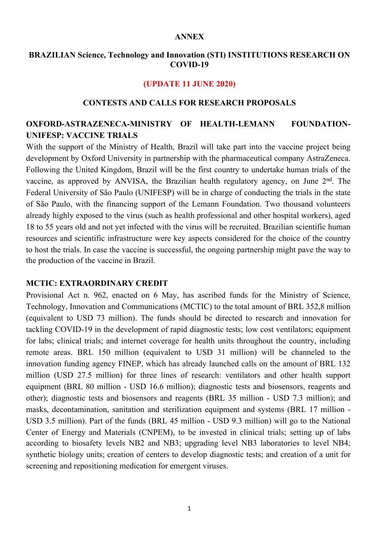#### **ANNEX**

### **BRAZILIAN Science, Technology and Innovation (STI) INSTITUTIONS RESEARCH ON COVID-19**

#### **(UPDATE 11 JUNE 2020)**

### **CONTESTS AND CALLS FOR RESEARCH PROPOSALS**

# **OXFORD-ASTRAZENECA-MINISTRY OF HEALTH-LEMANN FOUNDATION-UNIFESP: VACCINE TRIALS**

With the support of the Ministry of Health, Brazil will take part into the vaccine project being development by Oxford University in partnership with the pharmaceutical company AstraZeneca. Following the United Kingdom, Brazil will be the first country to undertake human trials of the vaccine, as approved by ANVISA, the Brazilian health regulatory agency, on June 2<sup>nd</sup>. The Federal University of São Paulo (UNIFESP) will be in charge of conducting the trials in the state of São Paulo, with the financing support of the Lemann Foundation. Two thousand volunteers already highly exposed to the virus (such as health professional and other hospital workers), aged 18 to 55 years old and not yet infected with the virus will be recruited. Brazilian scientific human resources and scientific infrastructure were key aspects considered for the choice of the country to host the trials. In case the vaccine is successful, the ongoing partnership might pave the way to the production of the vaccine in Brazil.

### **MCTIC: EXTRAORDINARY CREDIT**

Provisional Act n. 962, enacted on 6 May, has ascribed funds for the Ministry of Science, Technology, Innovation and Communications (MCTIC) to the total amount of BRL 352,8 million (equivalent to USD 73 million). The funds should be directed to research and innovation for tackling COVID-19 in the development of rapid diagnostic tests; low cost ventilators; equipment for labs; clinical trials; and internet coverage for health units throughout the country, including remote areas. BRL 150 million (equivalent to USD 31 million) will be channeled to the innovation funding agency FINEP, which has already launched calls on the amount of BRL 132 million (USD 27.5 million) for three lines of research: ventilators and other health support equipment (BRL 80 million - USD 16.6 million); diagnostic tests and biosensors, reagents and other); diagnostic tests and biosensors and reagents (BRL 35 million - USD 7.3 million); and masks, decontamination, sanitation and sterilization equipment and systems (BRL 17 million - USD 3.5 million). Part of the funds (BRL 45 million - USD 9.3 million) will go to the National Center of Energy and Materials (CNPEM), to be invested in clinical trials; setting up of labs according to biosafety levels NB2 and NB3; upgrading level NB3 laboratories to level NB4; synthetic biology units; creation of centers to develop diagnostic tests; and creation of a unit for screening and repositioning medication for emergent viruses.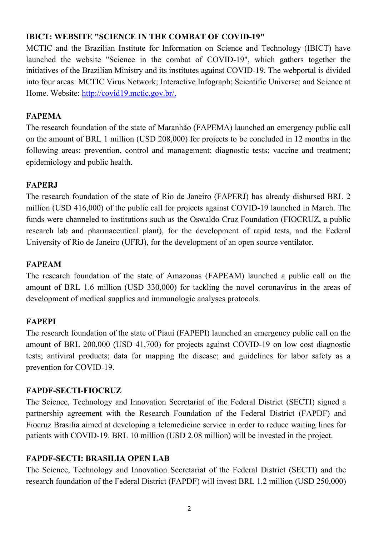# **IBICT: WEBSITE "SCIENCE IN THE COMBAT OF COVID-19"**

MCTIC and the Brazilian Institute for Information on Science and Technology (IBICT) have launched the website "Science in the combat of COVID-19", which gathers together the initiatives of the Brazilian Ministry and its institutes against COVID-19. The webportal is divided into four areas: MCTIC Virus Network; Interactive Infograph; Scientific Universe; and Science at Home. Website: http://covid19.mctic.gov.br/.

## **FAPEMA**

The research foundation of the state of Maranhão (FAPEMA) launched an emergency public call on the amount of BRL 1 million (USD 208,000) for projects to be concluded in 12 months in the following areas: prevention, control and management; diagnostic tests; vaccine and treatment; epidemiology and public health.

## **FAPERJ**

The research foundation of the state of Rio de Janeiro (FAPERJ) has already disbursed BRL 2 million (USD 416,000) of the public call for projects against COVID-19 launched in March. The funds were channeled to institutions such as the Oswaldo Cruz Foundation (FIOCRUZ, a public research lab and pharmaceutical plant), for the development of rapid tests, and the Federal University of Rio de Janeiro (UFRJ), for the development of an open source ventilator.

# **FAPEAM**

The research foundation of the state of Amazonas (FAPEAM) launched a public call on the amount of BRL 1.6 million (USD 330,000) for tackling the novel coronavirus in the areas of development of medical supplies and immunologic analyses protocols.

### **FAPEPI**

The research foundation of the state of Piauí (FAPEPI) launched an emergency public call on the amount of BRL 200,000 (USD 41,700) for projects against COVID-19 on low cost diagnostic tests; antiviral products; data for mapping the disease; and guidelines for labor safety as a prevention for COVID-19.

### **FAPDF-SECTI-FIOCRUZ**

The Science, Technology and Innovation Secretariat of the Federal District (SECTI) signed a partnership agreement with the Research Foundation of the Federal District (FAPDF) and Fiocruz Brasilia aimed at developing a telemedicine service in order to reduce waiting lines for patients with COVID-19. BRL 10 million (USD 2.08 million) will be invested in the project.

# **FAPDF-SECTI: BRASILIA OPEN LAB**

The Science, Technology and Innovation Secretariat of the Federal District (SECTI) and the research foundation of the Federal District (FAPDF) will invest BRL 1.2 million (USD 250,000)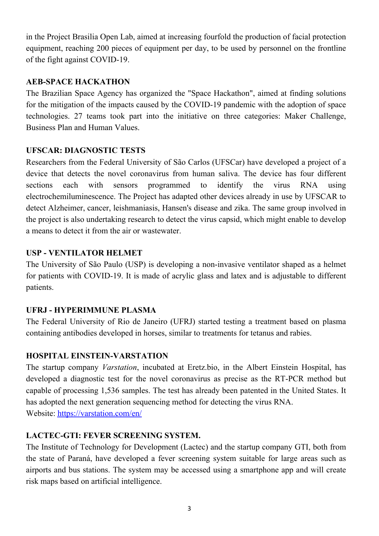in the Project Brasilia Open Lab, aimed at increasing fourfold the production of facial protection equipment, reaching 200 pieces of equipment per day, to be used by personnel on the frontline of the fight against COVID-19.

## **AEB-SPACE HACKATHON**

The Brazilian Space Agency has organized the "Space Hackathon", aimed at finding solutions for the mitigation of the impacts caused by the COVID-19 pandemic with the adoption of space technologies. 27 teams took part into the initiative on three categories: Maker Challenge, Business Plan and Human Values.

## **UFSCAR: DIAGNOSTIC TESTS**

Researchers from the Federal University of São Carlos (UFSCar) have developed a project of a device that detects the novel coronavirus from human saliva. The device has four different sections each with sensors programmed to identify the virus RNA using electrochemiluminescence. The Project has adapted other devices already in use by UFSCAR to detect Alzheimer, cancer, leishmaniasis, Hansen's disease and zika. The same group involved in the project is also undertaking research to detect the virus capsid, which might enable to develop a means to detect it from the air or wastewater.

## **USP - VENTILATOR HELMET**

The University of São Paulo (USP) is developing a non-invasive ventilator shaped as a helmet for patients with COVID-19. It is made of acrylic glass and latex and is adjustable to different patients.

# **UFRJ - HYPERIMMUNE PLASMA**

The Federal University of Rio de Janeiro (UFRJ) started testing a treatment based on plasma containing antibodies developed in horses, similar to treatments for tetanus and rabies.

# **HOSPITAL EINSTEIN-VARSTATION**

The startup company *Varstation*, incubated at Eretz.bio, in the Albert Einstein Hospital, has developed a diagnostic test for the novel coronavirus as precise as the RT-PCR method but capable of processing 1,536 samples. The test has already been patented in the United States. It has adopted the next generation sequencing method for detecting the virus RNA. Website: https://varstation.com/en/

# **LACTEC-GTI: FEVER SCREENING SYSTEM.**

The Institute of Technology for Development (Lactec) and the startup company GTI, both from the state of Paraná, have developed a fever screening system suitable for large areas such as airports and bus stations. The system may be accessed using a smartphone app and will create risk maps based on artificial intelligence.